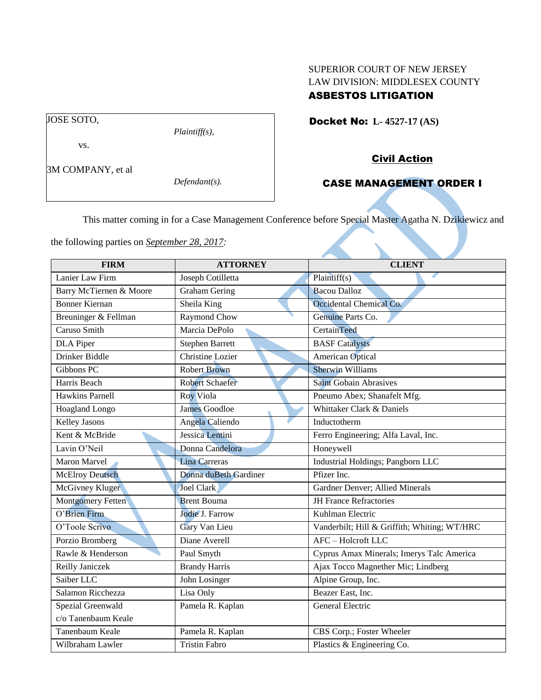## SUPERIOR COURT OF NEW JERSEY LAW DIVISION: MIDDLESEX COUNTY ASBESTOS LITIGATION

Docket No: **L- 4527-17 (AS)** 

vs.

JOSE SOTO,

3M COMPANY, et al

*Defendant(s).*

*Plaintiff(s),*

# Civil Action

## CASE MANAGEMENT ORDER I

This matter coming in for a Case Management Conference before Special Master Agatha N. Dzikiewicz and

the following parties on *September 28, 2017:*

| <b>FIRM</b>              | <b>ATTORNEY</b>        | <b>CLIENT</b>                                |
|--------------------------|------------------------|----------------------------------------------|
| Lanier Law Firm          | Joseph Cotilletta      | Plaintiff(s)                                 |
| Barry McTiernen & Moore  | <b>Graham Gering</b>   | <b>Bacou Dalloz</b>                          |
| <b>Bonner Kiernan</b>    | Sheila King            | Occidental Chemical Co.                      |
| Breuninger & Fellman     | Raymond Chow           | Genuine Parts Co.                            |
| Caruso Smith             | Marcia DePolo          | CertainTeed                                  |
| <b>DLA</b> Piper         | <b>Stephen Barrett</b> | <b>BASF</b> Catalysts                        |
| Drinker Biddle           | Christine Lozier       | <b>American Optical</b>                      |
| Gibbons PC               | <b>Robert Brown</b>    | <b>Sherwin Williams</b>                      |
| Harris Beach             | <b>Robert Schaefer</b> | <b>Saint Gobain Abrasives</b>                |
| <b>Hawkins Parnell</b>   | Roy Viola              | Pneumo Abex; Shanafelt Mfg.                  |
| Hoagland Longo           | <b>James Goodloe</b>   | Whittaker Clark & Daniels                    |
| <b>Kelley Jasons</b>     | Angela Caliendo        | Inductotherm                                 |
| Kent & McBride           | Jessica Lentini        | Ferro Engineering; Alfa Laval, Inc.          |
| Lavin O'Neil             | Donna Candelora        | Honeywell                                    |
| Maron Marvel             | <b>Lina Carreras</b>   | Industrial Holdings; Pangborn LLC            |
| <b>McElroy Deutsch</b>   | Donna duBeth Gardiner  | Pfizer Inc.                                  |
| McGivney Kluger          | Joel Clark             | Gardner Denver; Allied Minerals              |
| <b>Montgomery Fetten</b> | <b>Brent Bouma</b>     | <b>JH France Refractories</b>                |
| O'Brien Firm             | Jodie J. Farrow        | Kuhlman Electric                             |
| O'Toole Scrivo           | Gary Van Lieu          | Vanderbilt; Hill & Griffith; Whiting; WT/HRC |
| Porzio Bromberg          | Diane Averell          | AFC - Holcroft LLC                           |
| Rawle & Henderson        | Paul Smyth             | Cyprus Amax Minerals; Imerys Talc America    |
| Reilly Janiczek          | <b>Brandy Harris</b>   | Ajax Tocco Magnether Mic; Lindberg           |
| Saiber LLC               | John Losinger          | Alpine Group, Inc.                           |
| Salamon Ricchezza        | Lisa Only              | Beazer East, Inc.                            |
| Spezial Greenwald        | Pamela R. Kaplan       | General Electric                             |
| c/o Tanenbaum Keale      |                        |                                              |
| Tanenbaum Keale          | Pamela R. Kaplan       | CBS Corp.; Foster Wheeler                    |
| Wilbraham Lawler         | <b>Tristin Fabro</b>   | Plastics & Engineering Co.                   |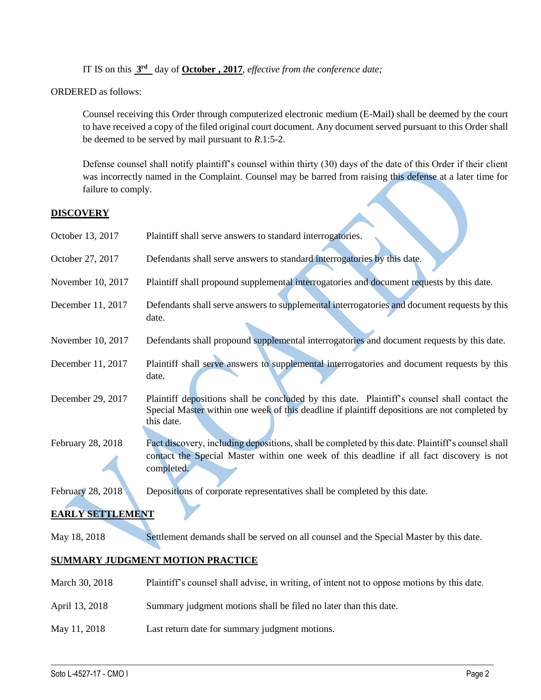IT IS on this **3 rd** day of **October , 2017**, *effective from the conference date;*

ORDERED as follows:

Counsel receiving this Order through computerized electronic medium (E-Mail) shall be deemed by the court to have received a copy of the filed original court document. Any document served pursuant to this Order shall be deemed to be served by mail pursuant to *R*.1:5-2.

Defense counsel shall notify plaintiff's counsel within thirty (30) days of the date of this Order if their client was incorrectly named in the Complaint. Counsel may be barred from raising this defense at a later time for failure to comply.

## **DISCOVERY**

| October 13, 2017        | Plaintiff shall serve answers to standard interrogatories.                                                                                                                                                  |
|-------------------------|-------------------------------------------------------------------------------------------------------------------------------------------------------------------------------------------------------------|
| October 27, 2017        | Defendants shall serve answers to standard interrogatories by this date.                                                                                                                                    |
| November 10, 2017       | Plaintiff shall propound supplemental interrogatories and document requests by this date.                                                                                                                   |
| December 11, 2017       | Defendants shall serve answers to supplemental interrogatories and document requests by this<br>date.                                                                                                       |
| November 10, 2017       | Defendants shall propound supplemental interrogatories and document requests by this date.                                                                                                                  |
| December 11, 2017       | Plaintiff shall serve answers to supplemental interrogatories and document requests by this<br>date.                                                                                                        |
| December 29, 2017       | Plaintiff depositions shall be concluded by this date. Plaintiff's counsel shall contact the<br>Special Master within one week of this deadline if plaintiff depositions are not completed by<br>this date. |
| February 28, 2018       | Fact discovery, including depositions, shall be completed by this date. Plaintiff's counsel shall<br>contact the Special Master within one week of this deadline if all fact discovery is not<br>completed. |
| February 28, 2018       | Depositions of corporate representatives shall be completed by this date.                                                                                                                                   |
| <b>EARLY SETTLEMENT</b> |                                                                                                                                                                                                             |
| May 18, 2018            | Settlement demands shall be served on all counsel and the Special Master by this date.                                                                                                                      |
|                         | SUMMARY JUDGMENT MOTION PRACTICE                                                                                                                                                                            |
| March 30, 2018          | Plaintiff's counsel shall advise, in writing, of intent not to oppose motions by this date.                                                                                                                 |
| April 13, 2018          | Summary judgment motions shall be filed no later than this date.                                                                                                                                            |
| May 11, 2018            | Last return date for summary judgment motions.                                                                                                                                                              |

 $\_$  ,  $\_$  ,  $\_$  ,  $\_$  ,  $\_$  ,  $\_$  ,  $\_$  ,  $\_$  ,  $\_$  ,  $\_$  ,  $\_$  ,  $\_$  ,  $\_$  ,  $\_$  ,  $\_$  ,  $\_$  ,  $\_$  ,  $\_$  ,  $\_$  ,  $\_$  ,  $\_$  ,  $\_$  ,  $\_$  ,  $\_$  ,  $\_$  ,  $\_$  ,  $\_$  ,  $\_$  ,  $\_$  ,  $\_$  ,  $\_$  ,  $\_$  ,  $\_$  ,  $\_$  ,  $\_$  ,  $\_$  ,  $\_$  ,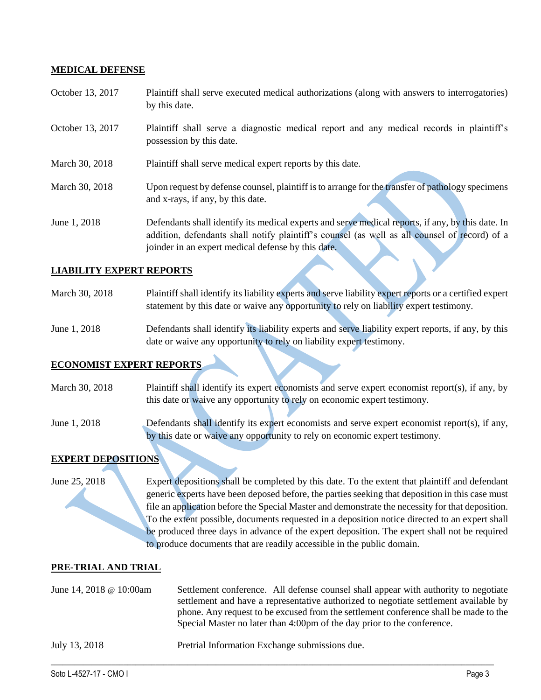#### **MEDICAL DEFENSE**

- October 13, 2017 Plaintiff shall serve executed medical authorizations (along with answers to interrogatories) by this date.
- October 13, 2017 Plaintiff shall serve a diagnostic medical report and any medical records in plaintiff's possession by this date.
- March 30, 2018 Plaintiff shall serve medical expert reports by this date.
- March 30, 2018 Upon request by defense counsel, plaintiff is to arrange for the transfer of pathology specimens and x-rays, if any, by this date.
- June 1, 2018 Defendants shall identify its medical experts and serve medical reports, if any, by this date. In addition, defendants shall notify plaintiff's counsel (as well as all counsel of record) of a joinder in an expert medical defense by this date.

#### **LIABILITY EXPERT REPORTS**

- March 30, 2018 Plaintiff shall identify its liability experts and serve liability expert reports or a certified expert statement by this date or waive any opportunity to rely on liability expert testimony.
- June 1, 2018 Defendants shall identify its liability experts and serve liability expert reports, if any, by this date or waive any opportunity to rely on liability expert testimony.

## **ECONOMIST EXPERT REPORTS**

March 30, 2018 Plaintiff shall identify its expert economists and serve expert economist report(s), if any, by this date or waive any opportunity to rely on economic expert testimony.

June 1, 2018 Defendants shall identify its expert economists and serve expert economist report(s), if any, by this date or waive any opportunity to rely on economic expert testimony.

### **EXPERT DEPOSITIONS**

June 25, 2018 Expert depositions shall be completed by this date. To the extent that plaintiff and defendant generic experts have been deposed before, the parties seeking that deposition in this case must file an application before the Special Master and demonstrate the necessity for that deposition. To the extent possible, documents requested in a deposition notice directed to an expert shall be produced three days in advance of the expert deposition. The expert shall not be required to produce documents that are readily accessible in the public domain.

#### **PRE-TRIAL AND TRIAL**

| June 14, 2018 $\omega$ 10:00am | Settlement conference. All defense counsel shall appear with authority to negotiate<br>settlement and have a representative authorized to negotiate settlement available by<br>phone. Any request to be excused from the settlement conference shall be made to the<br>Special Master no later than 4:00pm of the day prior to the conference. |
|--------------------------------|------------------------------------------------------------------------------------------------------------------------------------------------------------------------------------------------------------------------------------------------------------------------------------------------------------------------------------------------|
| July 13, 2018                  | Pretrial Information Exchange submissions due.                                                                                                                                                                                                                                                                                                 |